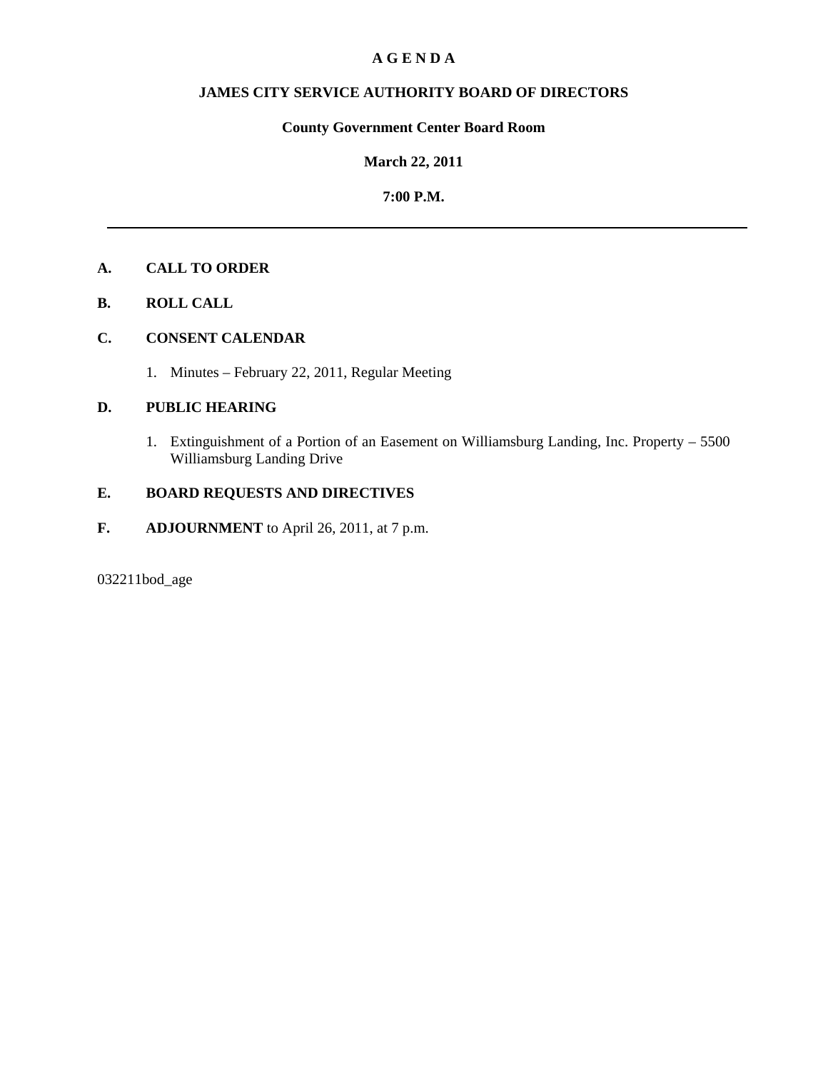## **A G E N D A**

# **JAMES CITY SERVICE AUTHORITY BOARD OF DIRECTORS**

# **County Government Center Board Room**

### **March 22, 2011**

## **7:00 P.M.**

# **A. CALL TO ORDER**

**B. ROLL CALL**

# **C. CONSENT CALENDAR**

1. Minutes – February 22, 2011, Regular Meeting

## **D. PUBLIC HEARING**

 1. Extinguishment of a Portion of an Easement on Williamsburg Landing, Inc. Property – 5500 Williamsburg Landing Drive

# **E. BOARD REQUESTS AND DIRECTIVES**

**F. ADJOURNMENT** to April 26, 2011, at 7 p.m.

032211bod\_age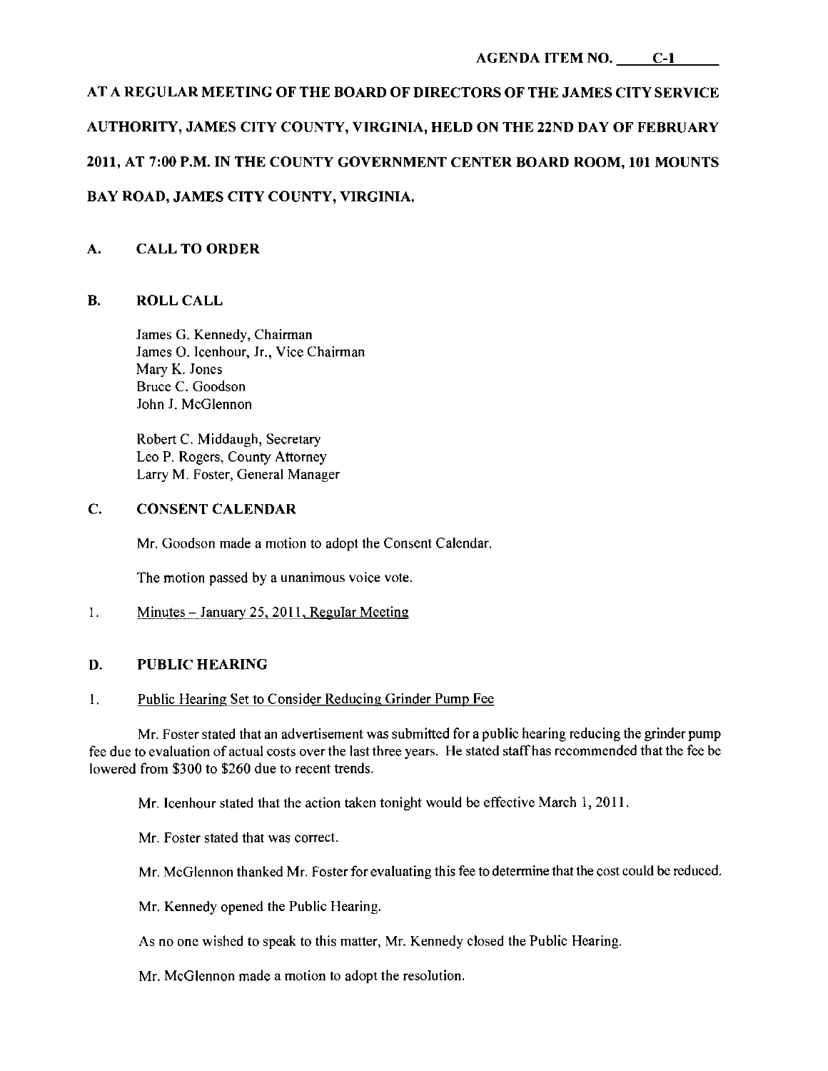# AT A REGULAR MEETING OF THE BOARD OF DIRECTORS OF THE JAMES CITY SERVICE AUTHORITY, JAMES CITY COUNTY, VIRGINIA, HELD ON THE 22ND DAY OF FEBRUARY

# 2011, AT 7:00 P.M. IN THE COUNTY GOVERNMENT CENTER BOARD ROOM, 101 MOUNTS

# BAY ROAD, JAMES CITY COUNTY, VIRGINIA.

# A. CALL TO ORDER

# B. ROLL CALL

James G. Kennedy, Chairman James O. Icenhour, Jr., Vice Chairman Mary K. Jones Bruce C. Goodson John J. McGlennon

Robert C. Middaugh, Secretary Leo P. Rogers, County Attorney Larry M. Foster, General Manager

# C. CONSENT CALENDAR

Mr. Goodson made a motion to adopt the Consent Calendar.

The motion passed by a unanimous voice vote.

# 1. Minutes - January 25, 2011, Regular Meeting

# D. PUBLIC HEARING

### 1. Public Hearing Set to Consider Reducing Grinder Pump Fee

Mr. Foster stated that an advertisement was submitted for a public hearing reducing the grinder pump fee due to evaluation of actual costs over the last three years. He stated staffhas recommended that the fee be lowered from \$300 to \$260 due to recent trends.

Mr. Icenhour stated that the action taken tonight would be effective March 1, 2011.

Mr. Foster stated that was correct.

Mr. McGlennon thanked Mr. Foster for evaluating this fee to determine that the cost could be reduced.

Mr. Kennedy opened the Public Hearing.

As no one wished to speak to this matter, Mr. Kennedy closed the Public Hearing.

Mr. McGlennon made a motion to adopt the resolution.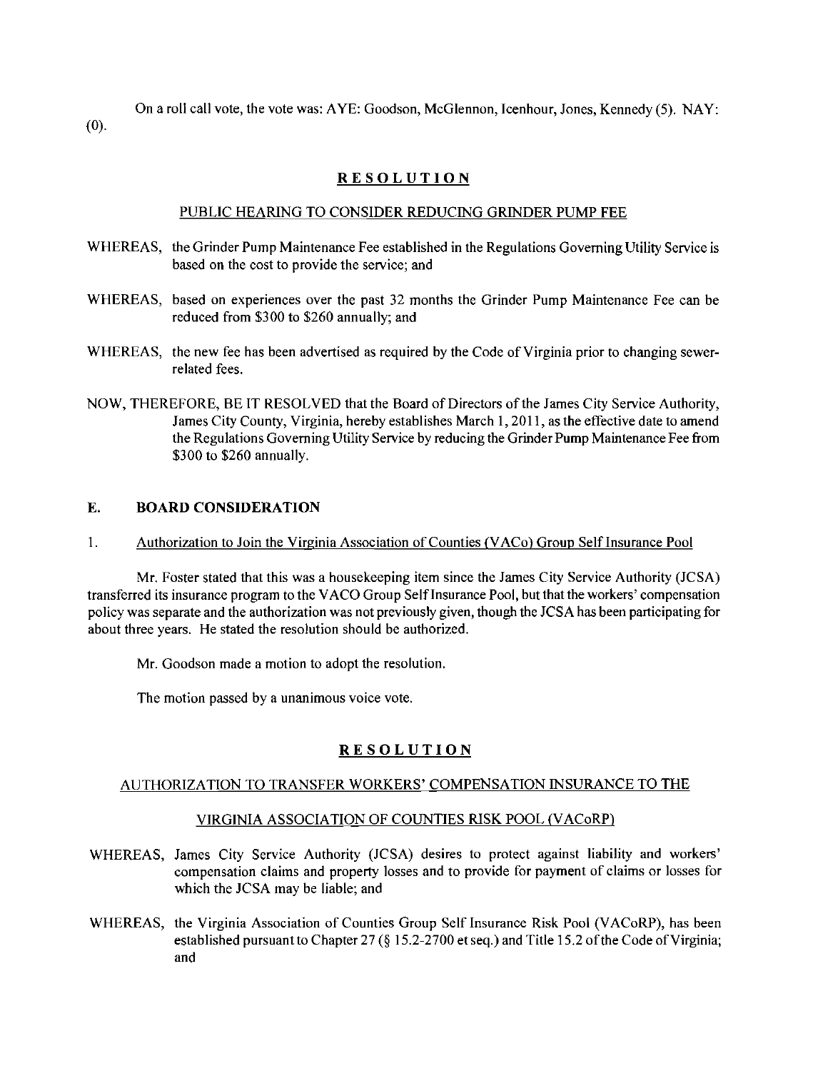On a roll call vote, the vote was: AYE: Goodson, McGlennon, Icenhour, Jones, Kennedy (5). NAY: (0).

# **RESOLUTION**

### PUBLIC HEARING TO CONSIDER REDUCING GRINDER PUMP FEE

- WHEREAS, the Grinder Pump Maintenance Fee established in the Regulations Governing Utility Service is based on the cost to provide the service; and
- WHEREAS, based on experiences over the past 32 months the Grinder Pump Maintenance Fee can be reduced from \$300 to \$260 annually; and
- WHEREAS, the new fee has been advertised as required by the Code of Virginia prior to changing sewerrelated fees.
- NOW, THEREFORE, BE IT RESOLVED that the Board of Directors of the James City Service Authority, James City County, Virginia, hereby establishes March 1,2011, as the effective date to amend the Regulations Governing Utility Service by reducing the Grinder Pump Maintenance Fee from \$300 to \$260 annually.

## E. **BOARD CONSIDERATION**

1. Authorization to Join the Virginia Association of Counties (VACo) Group Self Insurance Pool

Mr. Foster stated that this was a housekeeping item since the James City Service Authority (JCSA) transferred its insurance program to the V ACO Group SelfInsurance Pool, but that the workers' compensation policy was separate and the authorization was not previously given, though the JCSA has been participating for about three years. He stated the resolution should be authorized.

Mr. Goodson made a motion to adopt the resolution.

The motion passed by a unanimous voice vote.

### **RESOLUTION**

### AUTHORIZATION TO TRANSFER WORKERS' COMPENSATION INSURANCE TO THE

### VIRGINIA ASSOCIATION OF COUNTIES RISK POOL (VACORP)

- WHEREAS, James City Service Authority (JCSA) desires to protect against liability and workers' compensation claims and property losses and to provide for payment of claims or losses for which the JCSA may be liable; and
- WHEREAS, the Virginia Association of Counties Group Self Insurance Risk Pool (VACoRP), has been established pursuant to Chapter 27 (§ 15.2-2700 et seq.) and Title 15.2 of the Code of Virginia; and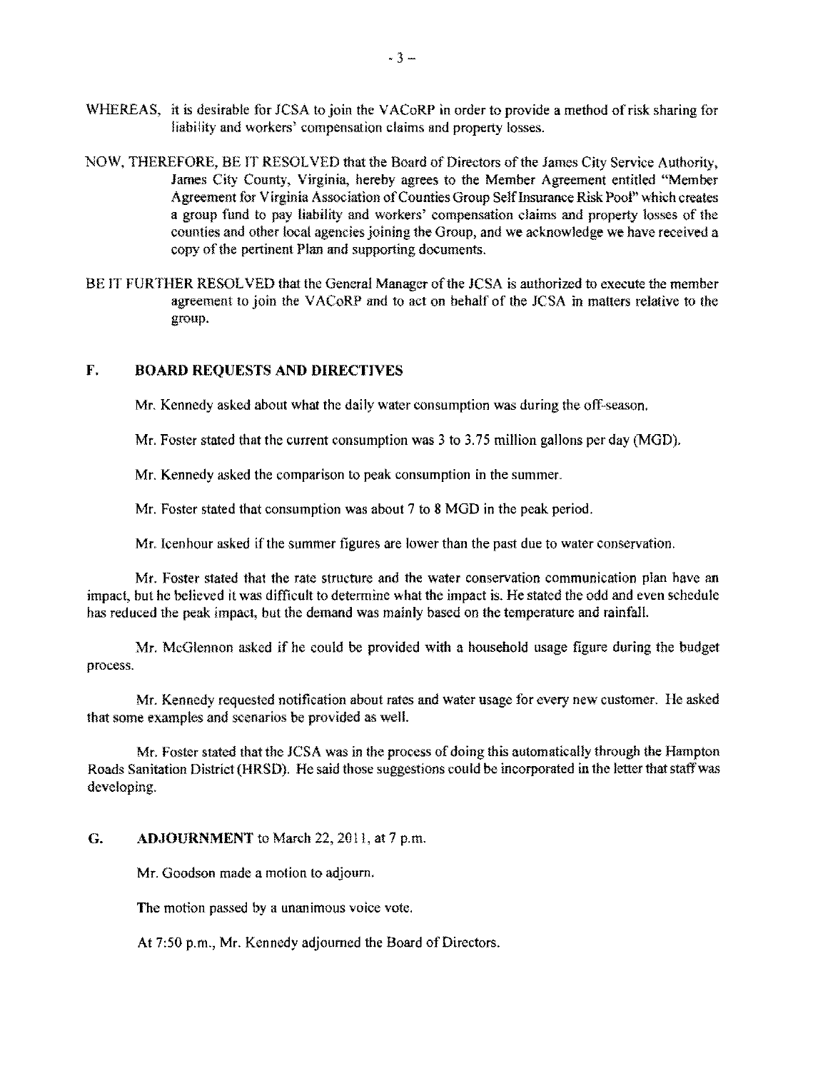- WHEREAS, it is desirable for JCSA to join the VACoRP in order to provide a method of risk sharing for liability and workers' compensation claims and property losses.
- NOW, THEREFORE, BE IT RESOLVED that the Board of Directors ofthe James City Service Authority, James City County, Virginia, hereby agrees to the Member Agreement entitled "Memher Agreement for Virginia Association ofCounties Group SelfInsurance Risk Pool" which creates a group fund to pay liability and workers' compensation claims and property losses of the counties and other loeal agencies joining the Group, and we acknowledge we have received a copy of the pertinent Plan and supporting documents.
- BE IT FURTHER RESOLVED that the General Manager of the JCSA is authorized to execute the member agreement to join the V ACoRP and to act on behalf of the JCSA in matters relative to the group.

### F. BOARD REQUESTS AND DIRECTIVES

Mr. Kennedy asked about what the daily water consumption was during the off-season.

Mr. Foster stated that the current consumption was 3 to 3.75 million gallons per day (MGD).

Mr. Kennedy asked the comparison to peak consumption in the summer.

Mr. Foster stated that consumption was about 7 to 8 MGD in the peak period.

Mr. Icenhour asked if the summer figures are lower than the past due to water conservation,

Mr. Foster stated that the rate structure and the water conservation communication plan have an impact, but he helieved it was difficult to determine what the impact is. He stated the odd and even schedule has reduced the peak impact, but the demand was mainly based on the temperature and rainfall.

Mr. McGlennon asked if he could he provided with a household usage figure during the budget process.

Mr. Kennedy requested notifieation about rates and water usage for every new customer. He asked that some examples and scenarios be provided as well.

Mr. Foster stated that the JCSA was in the process of doing this automatically through the Hampton Roads Sanitation District (HRSD), He said those suggestions could be incorporated in the letter that staffwas developing.

G. ADJOURNMENT to March 22, 2011, at 7 p.m.

Mr. Goodson made a motion to adjourn.

The motion passed by a unanimous voice vote,

At 7:50 p.m., Mr, Kennedy adjourned the Board of Directors.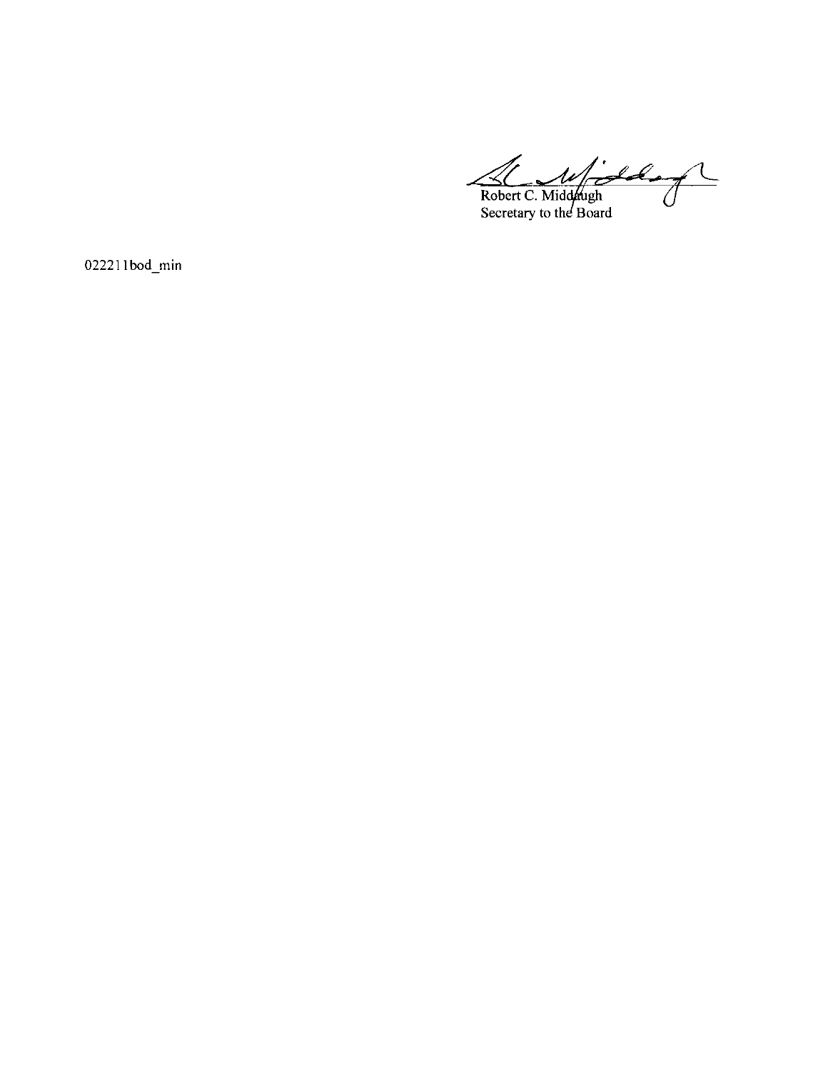Widdle of F Robert C. Middaugh<br>Secretary to the Board

 $022211$ bod\_min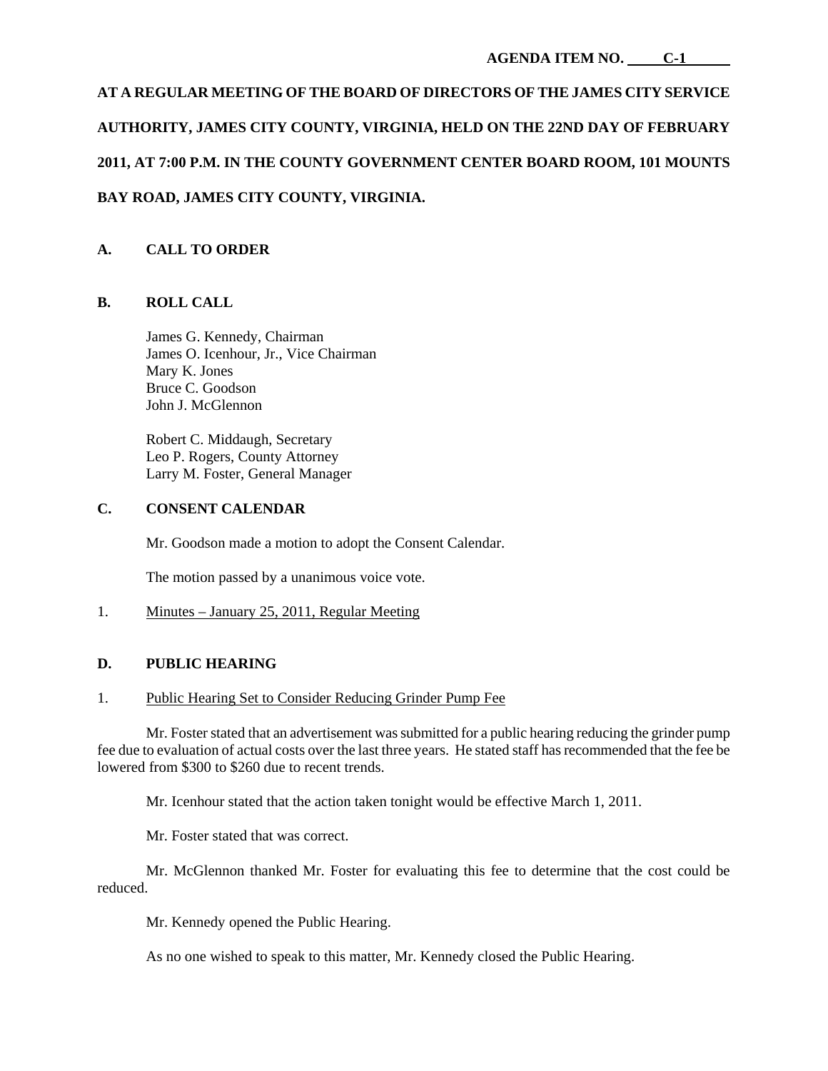# **AT A REGULAR MEETING OF THE BOARD OF DIRECTORS OF THE JAMES CITY SERVICE AUTHORITY, JAMES CITY COUNTY, VIRGINIA, HELD ON THE 22ND DAY OF FEBRUARY 2011, AT 7:00 P.M. IN THE COUNTY GOVERNMENT CENTER BOARD ROOM, 101 MOUNTS BAY ROAD, JAMES CITY COUNTY, VIRGINIA.**

# **A. CALL TO ORDER**

# **B. ROLL CALL**

James G. Kennedy, Chairman James O. Icenhour, Jr., Vice Chairman Mary K. Jones Bruce C. Goodson John J. McGlennon

Robert C. Middaugh, Secretary Leo P. Rogers, County Attorney Larry M. Foster, General Manager

### **C. CONSENT CALENDAR**

Mr. Goodson made a motion to adopt the Consent Calendar.

The motion passed by a unanimous voice vote.

# 1. Minutes – January 25, 2011, Regular Meeting

# **D. PUBLIC HEARING**

### 1. Public Hearing Set to Consider Reducing Grinder Pump Fee

 Mr. Foster stated that an advertisement was submitted for a public hearing reducing the grinder pump fee due to evaluation of actual costs over the last three years. He stated staff has recommended that the fee be lowered from \$300 to \$260 due to recent trends.

Mr. Icenhour stated that the action taken tonight would be effective March 1, 2011.

Mr. Foster stated that was correct.

 Mr. McGlennon thanked Mr. Foster for evaluating this fee to determine that the cost could be reduced.

Mr. Kennedy opened the Public Hearing.

As no one wished to speak to this matter, Mr. Kennedy closed the Public Hearing.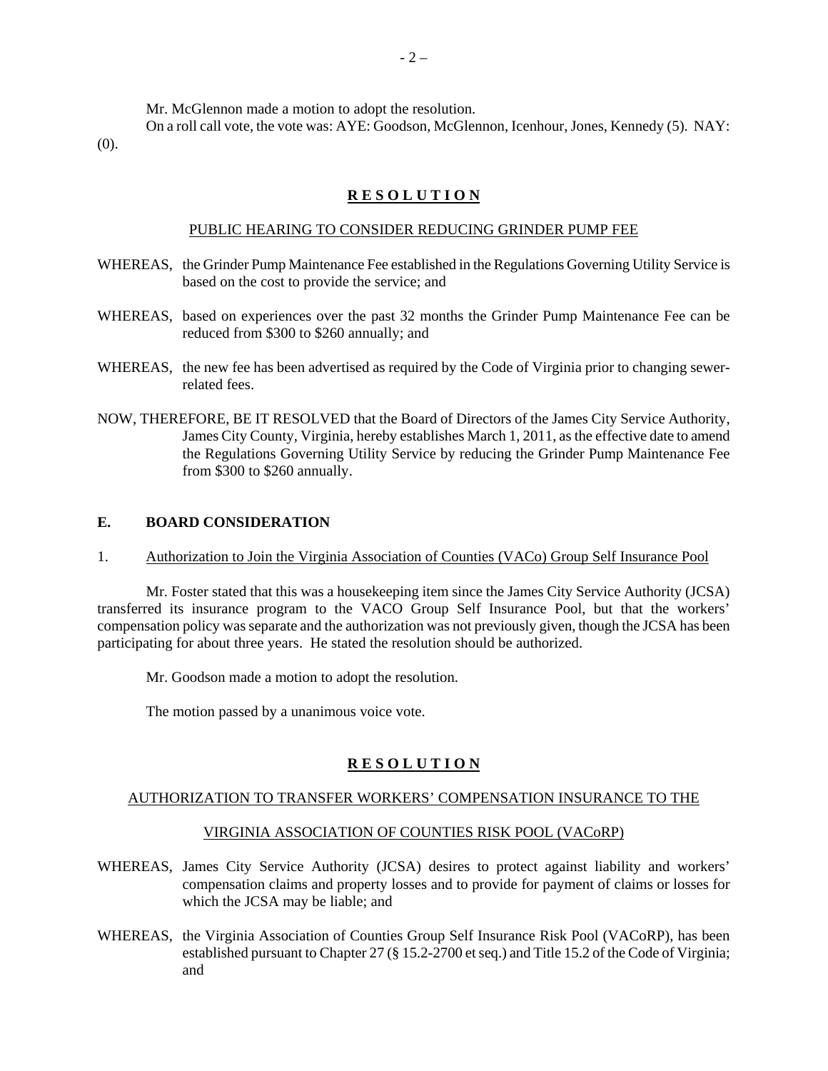Mr. McGlennon made a motion to adopt the resolution.

 On a roll call vote, the vote was: AYE: Goodson, McGlennon, Icenhour, Jones, Kennedy (5). NAY:  $(0)$ .

### **R E S O L U T I O N**

### PUBLIC HEARING TO CONSIDER REDUCING GRINDER PUMP FEE

- WHEREAS, the Grinder Pump Maintenance Fee established in the Regulations Governing Utility Service is based on the cost to provide the service; and
- WHEREAS, based on experiences over the past 32 months the Grinder Pump Maintenance Fee can be reduced from \$300 to \$260 annually; and
- WHEREAS, the new fee has been advertised as required by the Code of Virginia prior to changing sewerrelated fees.
- NOW, THEREFORE, BE IT RESOLVED that the Board of Directors of the James City Service Authority, James City County, Virginia, hereby establishes March 1, 2011, as the effective date to amend the Regulations Governing Utility Service by reducing the Grinder Pump Maintenance Fee from \$300 to \$260 annually.

### **E. BOARD CONSIDERATION**

1. Authorization to Join the Virginia Association of Counties (VACo) Group Self Insurance Pool

 Mr. Foster stated that this was a housekeeping item since the James City Service Authority (JCSA) transferred its insurance program to the VACO Group Self Insurance Pool, but that the workers' compensation policy was separate and the authorization was not previously given, though the JCSA has been participating for about three years. He stated the resolution should be authorized.

Mr. Goodson made a motion to adopt the resolution.

The motion passed by a unanimous voice vote.

### **R E S O L U T I O N**

### AUTHORIZATION TO TRANSFER WORKERS' COMPENSATION INSURANCE TO THE

### VIRGINIA ASSOCIATION OF COUNTIES RISK POOL (VACoRP)

- WHEREAS, James City Service Authority (JCSA) desires to protect against liability and workers' compensation claims and property losses and to provide for payment of claims or losses for which the JCSA may be liable; and
- WHEREAS, the Virginia Association of Counties Group Self Insurance Risk Pool (VACoRP), has been established pursuant to Chapter 27 (§ 15.2-2700 et seq.) and Title 15.2 of the Code of Virginia; and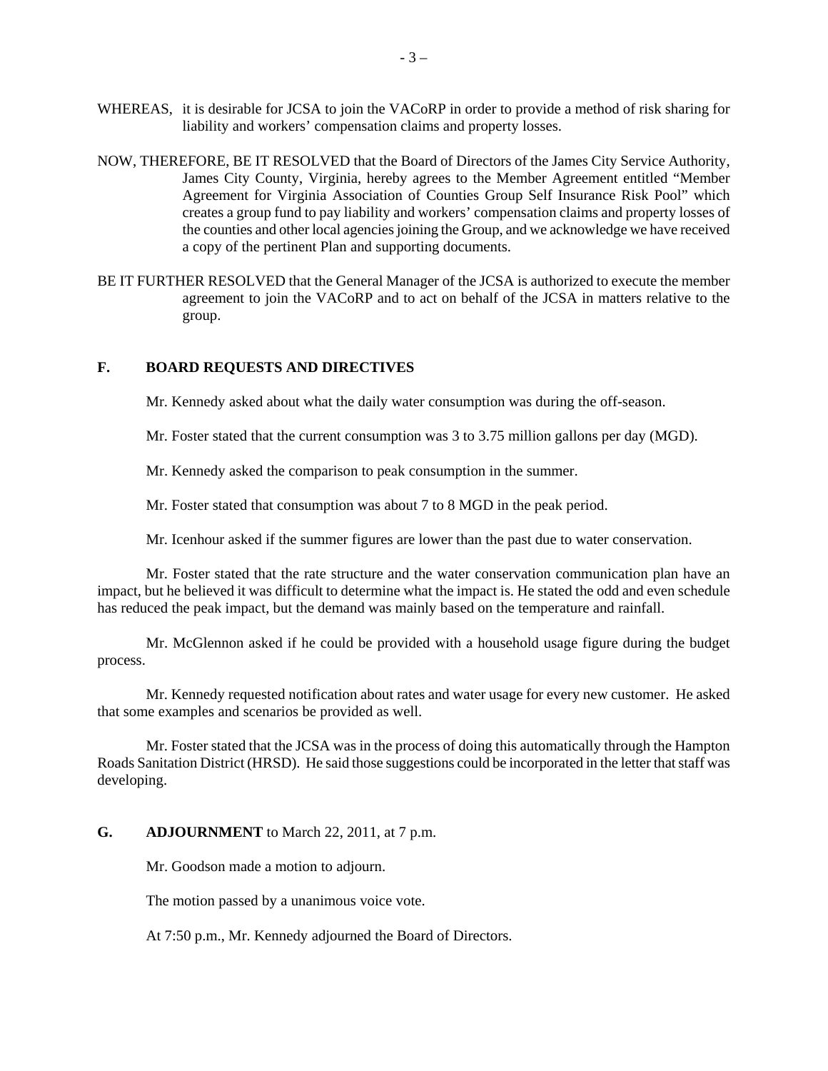- WHEREAS, it is desirable for JCSA to join the VACoRP in order to provide a method of risk sharing for liability and workers' compensation claims and property losses.
- NOW, THEREFORE, BE IT RESOLVED that the Board of Directors of the James City Service Authority, James City County, Virginia, hereby agrees to the Member Agreement entitled "Member Agreement for Virginia Association of Counties Group Self Insurance Risk Pool" which creates a group fund to pay liability and workers' compensation claims and property losses of the counties and other local agencies joining the Group, and we acknowledge we have received a copy of the pertinent Plan and supporting documents.
- BE IT FURTHER RESOLVED that the General Manager of the JCSA is authorized to execute the member agreement to join the VACoRP and to act on behalf of the JCSA in matters relative to the group.

### **F. BOARD REQUESTS AND DIRECTIVES**

Mr. Kennedy asked about what the daily water consumption was during the off-season.

Mr. Foster stated that the current consumption was 3 to 3.75 million gallons per day (MGD).

Mr. Kennedy asked the comparison to peak consumption in the summer.

Mr. Foster stated that consumption was about 7 to 8 MGD in the peak period.

Mr. Icenhour asked if the summer figures are lower than the past due to water conservation.

 Mr. Foster stated that the rate structure and the water conservation communication plan have an impact, but he believed it was difficult to determine what the impact is. He stated the odd and even schedule has reduced the peak impact, but the demand was mainly based on the temperature and rainfall.

 Mr. McGlennon asked if he could be provided with a household usage figure during the budget process.

 Mr. Kennedy requested notification about rates and water usage for every new customer. He asked that some examples and scenarios be provided as well.

 Mr. Foster stated that the JCSA was in the process of doing this automatically through the Hampton Roads Sanitation District (HRSD). He said those suggestions could be incorporated in the letter that staff was developing.

#### **G. ADJOURNMENT** to March 22, 2011, at 7 p.m.

Mr. Goodson made a motion to adjourn.

The motion passed by a unanimous voice vote.

At 7:50 p.m., Mr. Kennedy adjourned the Board of Directors.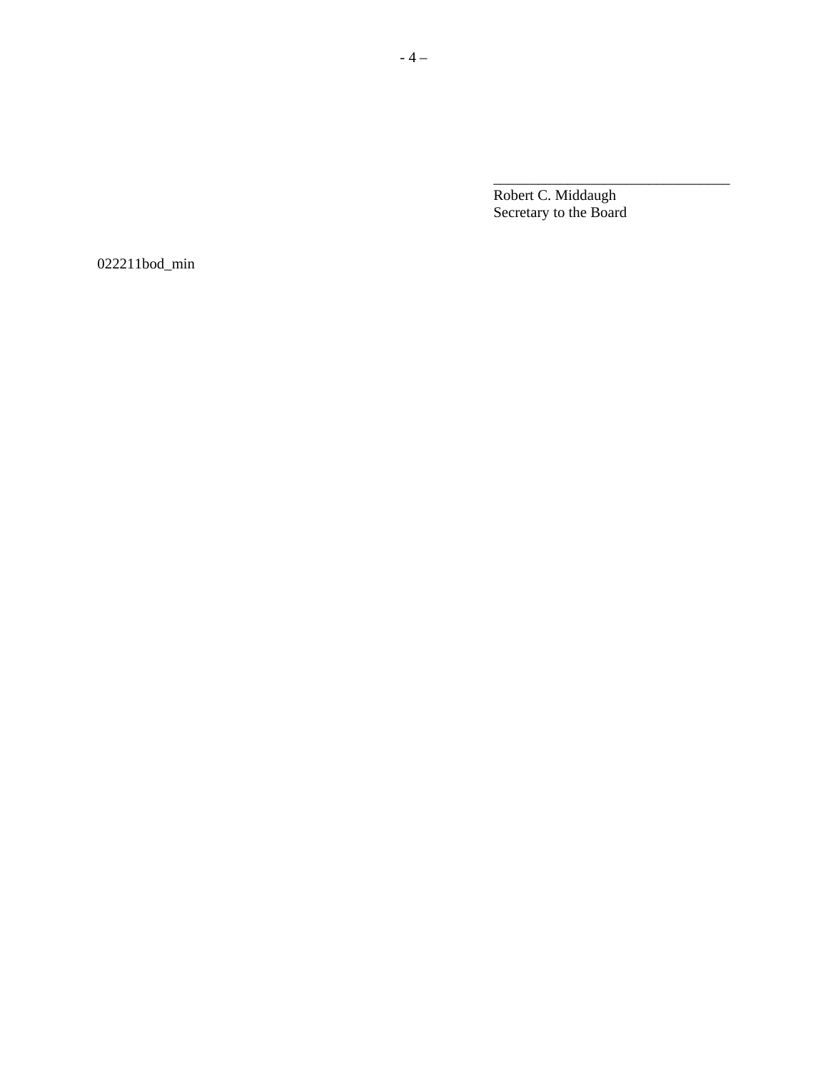Robert C. Middaugh Secretary to the Board

022211bod\_min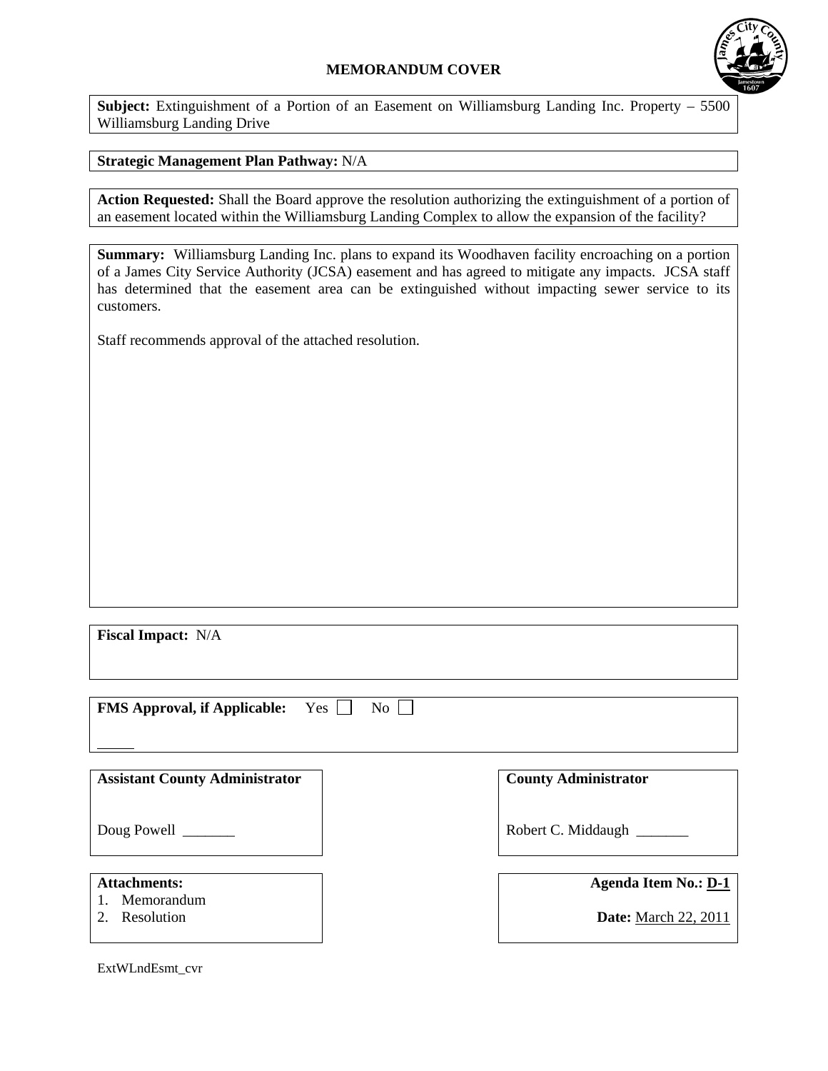# **MEMORANDUM COVER**



**Subject:** Extinguishment of a Portion of an Easement on Williamsburg Landing Inc. Property – 5500 Williamsburg Landing Drive

# **Strategic Management Plan Pathway:** N/A

**Action Requested:** Shall the Board approve the resolution authorizing the extinguishment of a portion of an easement located within the Williamsburg Landing Complex to allow the expansion of the facility?

**Summary:** Williamsburg Landing Inc. plans to expand its Woodhaven facility encroaching on a portion of a James City Service Authority (JCSA) easement and has agreed to mitigate any impacts. JCSA staff has determined that the easement area can be extinguished without impacting sewer service to its customers.

Staff recommends approval of the attached resolution.

**Fiscal Impact:** N/A

**FMS Approval, if Applicable:** Yes  $\Box$  No  $\Box$ 

| <b>Assistant County Administrator</b> |  |
|---------------------------------------|--|
|---------------------------------------|--|

Doug Powell

### **Attachments:**

l

- 1. Memorandum
- 2. Resolution

**County Administrator** 

Robert C. Middaugh \_\_\_\_\_\_\_

| <b>Agenda Item No.: D-1</b> |  |  |
|-----------------------------|--|--|
|                             |  |  |

**Date:** March 22, 2011

ExtWLndEsmt\_cvr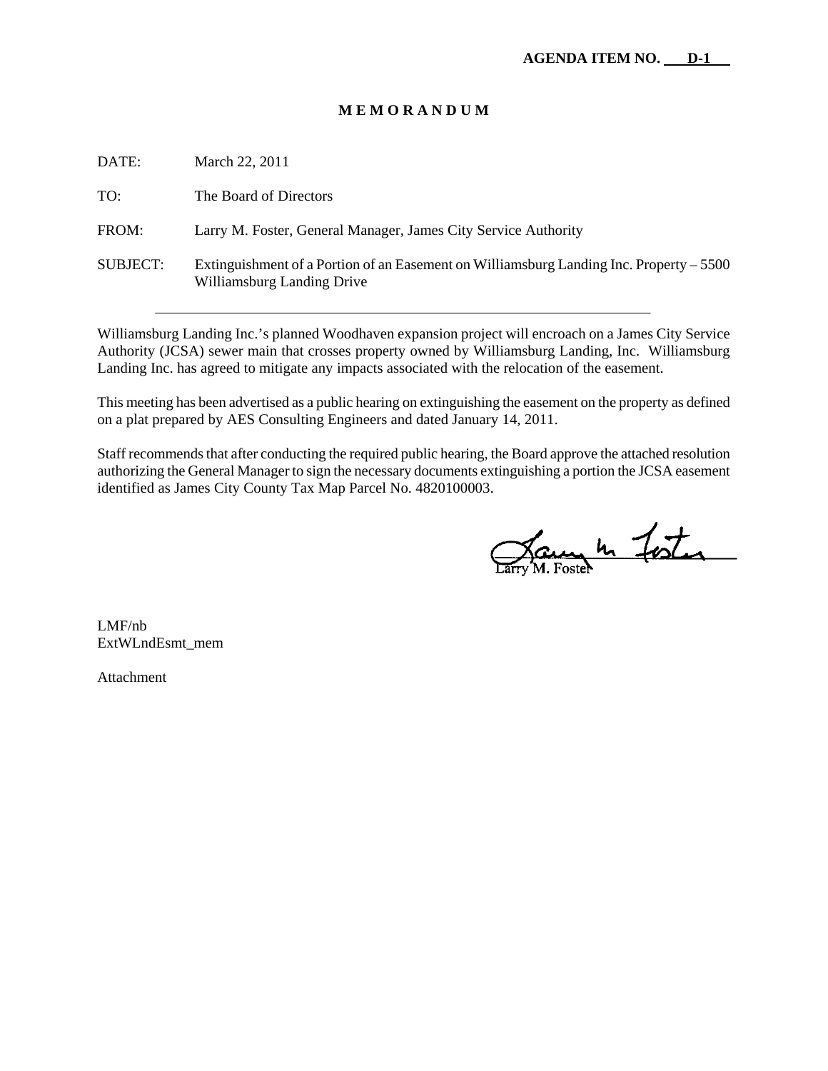### **M E M O R A N D U M**

| DATE:           | March 22, 2011                                                                                                        |
|-----------------|-----------------------------------------------------------------------------------------------------------------------|
| TO:             | The Board of Directors                                                                                                |
| FROM:           | Larry M. Foster, General Manager, James City Service Authority                                                        |
| <b>SUBJECT:</b> | Extinguishment of a Portion of an Easement on Williamsburg Landing Inc. Property – 5500<br>Williamsburg Landing Drive |

Williamsburg Landing Inc.'s planned Woodhaven expansion project will encroach on a James City Service Authority (JCSA) sewer main that crosses property owned by Williamsburg Landing, Inc. Williamsburg Landing Inc. has agreed to mitigate any impacts associated with the relocation of the easement.

This meeting has been advertised as a public hearing on extinguishing the easement on the property as defined on a plat prepared by AES Consulting Engineers and dated January 14, 2011.

Staff recommends that after conducting the required public hearing, the Board approve the attached resolution authorizing the General Manager to sign the necessary documents extinguishing a portion the JCSA easement identified as James City County Tax Map Parcel No. 4820100003.

Dary In Foster

LMF/nb ExtWLndEsmt\_mem

Attachment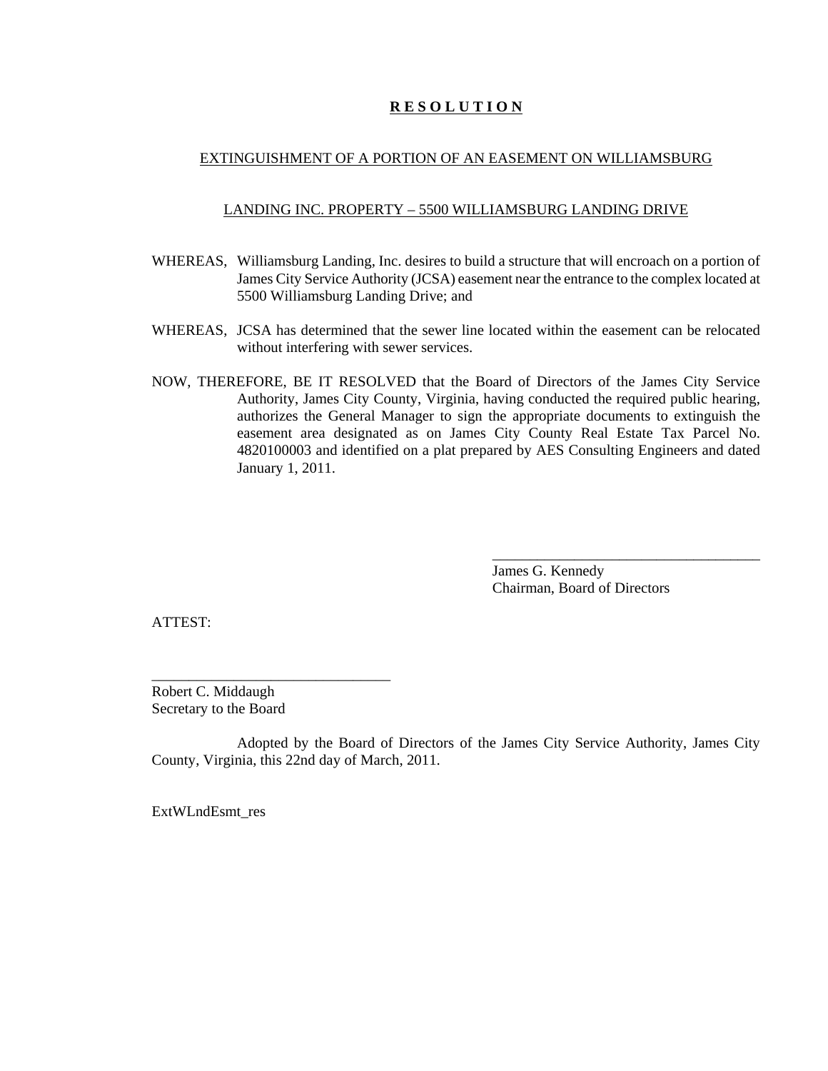# **R E S O L U T I O N**

### EXTINGUISHMENT OF A PORTION OF AN EASEMENT ON WILLIAMSBURG

### LANDING INC. PROPERTY – 5500 WILLIAMSBURG LANDING DRIVE

- WHEREAS, Williamsburg Landing, Inc. desires to build a structure that will encroach on a portion of James City Service Authority (JCSA) easement near the entrance to the complex located at 5500 Williamsburg Landing Drive; and
- WHEREAS, JCSA has determined that the sewer line located within the easement can be relocated without interfering with sewer services.
- NOW, THEREFORE, BE IT RESOLVED that the Board of Directors of the James City Service Authority, James City County, Virginia, having conducted the required public hearing, authorizes the General Manager to sign the appropriate documents to extinguish the easement area designated as on James City County Real Estate Tax Parcel No. 4820100003 and identified on a plat prepared by AES Consulting Engineers and dated January 1, 2011.

James G. Kennedy Chairman, Board of Directors

\_\_\_\_\_\_\_\_\_\_\_\_\_\_\_\_\_\_\_\_\_\_\_\_\_\_\_\_\_\_\_\_\_\_\_\_

ATTEST:

Robert C. Middaugh Secretary to the Board

\_\_\_\_\_\_\_\_\_\_\_\_\_\_\_\_\_\_\_\_\_\_\_\_\_\_\_\_\_\_\_\_

Adopted by the Board of Directors of the James City Service Authority, James City County, Virginia, this 22nd day of March, 2011.

ExtWLndEsmt\_res